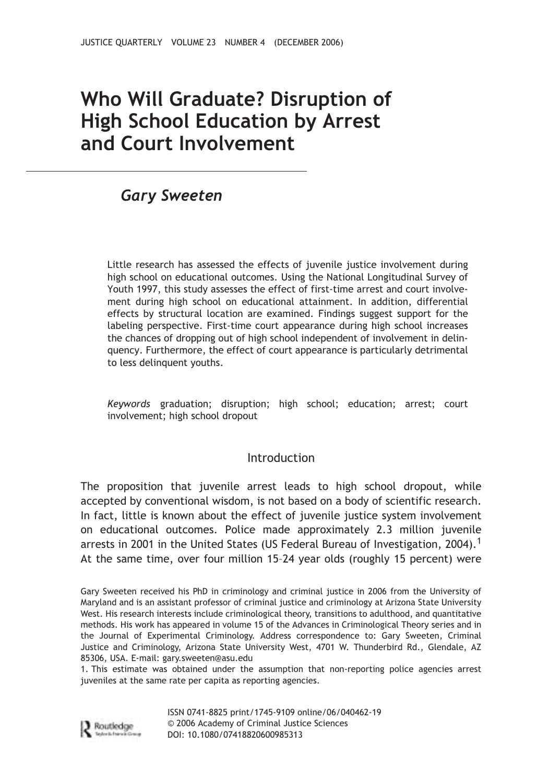# **Who Will Graduate? Disruption of High School Education by Arrest and Court Involvement**

# *Gary Sweeten*

Little research has assessed the effects of juvenile justice involvement during high school on educational outcomes. Using the National Longitudinal Survey of Youth 1997, this study assesses the effect of first-time arrest and court involvement during high school on educational attainment. In addition, differential effects by structural location are examined. Findings suggest support for the labeling perspective. First-time court appearance during high school increases the chances of dropping out of high school independent of involvement in delinquency. Furthermore, the effect of court appearance is particularly detrimental to less delinquent youths.

*Keywords* graduation; disruption; high school; education; arrest; court involvement; high school dropout

# Introduction

The proposition that juvenile arrest leads to high school dropout, while accepted by conventional wisdom, is not based on a body of scientific research. In fact, little is known about the effect of juvenile justice system involvement on educational outcomes. Police made approximately 2.3 million juvenile arrests in 2001 in the United States (US Federal Bureau of Investigation, 2004).<sup>1</sup> At the same time, over four million 15–24 year olds (roughly 15 percent) were

Gary Sweeten received his PhD in criminology and criminal justice in 2006 from the University of Maryland and is an assistant professor of criminal justice and criminology at Arizona State University West. His research interests include criminological theory, transitions to adulthood, and quantitative methods. His work has appeared in volume 15 of the Advances in Criminological Theory series and in the Journal of Experimental Criminology. Address correspondence to: Gary Sweeten, Criminal Justice and Criminology, Arizona State University West, 4701 W. Thunderbird Rd., Glendale, AZ 85306, USA. E-mail: gary.sweeten@asu.edu

1. This estimate was obtained under the assumption that non-reporting police agencies arrest juveniles at the same rate per capita as reporting agencies.



ISSN 0741-8825 print/1745-9109 online/06/040462-19 © 2006 Academy of Criminal Justice Sciences DOI: 10.1080/07418820600985313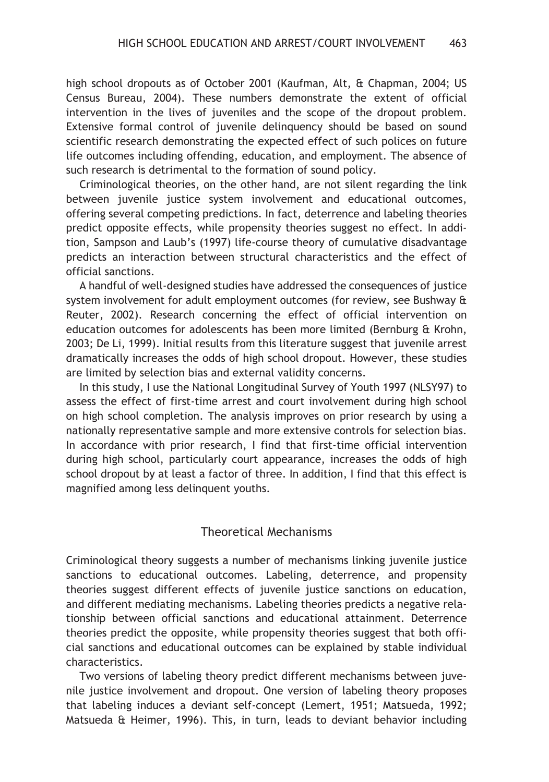high school dropouts as of October 2001 (Kaufman, Alt, & Chapman, 2004; US Census Bureau, 2004). These numbers demonstrate the extent of official intervention in the lives of juveniles and the scope of the dropout problem. Extensive formal control of juvenile delinquency should be based on sound scientific research demonstrating the expected effect of such polices on future life outcomes including offending, education, and employment. The absence of such research is detrimental to the formation of sound policy.

Criminological theories, on the other hand, are not silent regarding the link between juvenile justice system involvement and educational outcomes, offering several competing predictions. In fact, deterrence and labeling theories predict opposite effects, while propensity theories suggest no effect. In addition, Sampson and Laub's (1997) life-course theory of cumulative disadvantage predicts an interaction between structural characteristics and the effect of official sanctions.

A handful of well-designed studies have addressed the consequences of justice system involvement for adult employment outcomes (for review, see Bushway & Reuter, 2002). Research concerning the effect of official intervention on education outcomes for adolescents has been more limited (Bernburg & Krohn, 2003; De Li, 1999). Initial results from this literature suggest that juvenile arrest dramatically increases the odds of high school dropout. However, these studies are limited by selection bias and external validity concerns.

In this study, I use the National Longitudinal Survey of Youth 1997 (NLSY97) to assess the effect of first-time arrest and court involvement during high school on high school completion. The analysis improves on prior research by using a nationally representative sample and more extensive controls for selection bias. In accordance with prior research, I find that first-time official intervention during high school, particularly court appearance, increases the odds of high school dropout by at least a factor of three. In addition, I find that this effect is magnified among less delinquent youths.

## Theoretical Mechanisms

Criminological theory suggests a number of mechanisms linking juvenile justice sanctions to educational outcomes. Labeling, deterrence, and propensity theories suggest different effects of juvenile justice sanctions on education, and different mediating mechanisms. Labeling theories predicts a negative relationship between official sanctions and educational attainment. Deterrence theories predict the opposite, while propensity theories suggest that both official sanctions and educational outcomes can be explained by stable individual characteristics.

Two versions of labeling theory predict different mechanisms between juvenile justice involvement and dropout. One version of labeling theory proposes that labeling induces a deviant self-concept (Lemert, 1951; Matsueda, 1992; Matsueda & Heimer, 1996). This, in turn, leads to deviant behavior including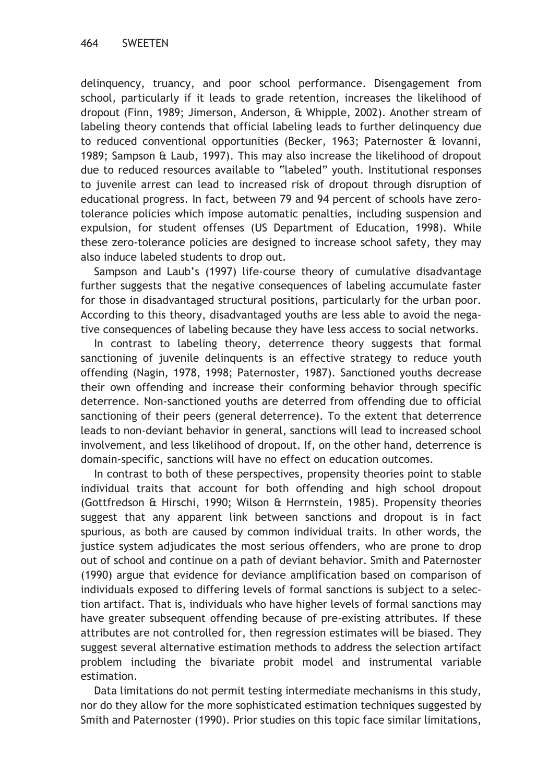delinquency, truancy, and poor school performance. Disengagement from school, particularly if it leads to grade retention, increases the likelihood of dropout (Finn, 1989; Jimerson, Anderson, & Whipple, 2002). Another stream of labeling theory contends that official labeling leads to further delinquency due to reduced conventional opportunities (Becker, 1963; Paternoster & Iovanni, 1989; Sampson & Laub, 1997). This may also increase the likelihood of dropout due to reduced resources available to "labeled" youth. Institutional responses to juvenile arrest can lead to increased risk of dropout through disruption of educational progress. In fact, between 79 and 94 percent of schools have zerotolerance policies which impose automatic penalties, including suspension and expulsion, for student offenses (US Department of Education, 1998). While these zero-tolerance policies are designed to increase school safety, they may also induce labeled students to drop out.

Sampson and Laub's (1997) life-course theory of cumulative disadvantage further suggests that the negative consequences of labeling accumulate faster for those in disadvantaged structural positions, particularly for the urban poor. According to this theory, disadvantaged youths are less able to avoid the negative consequences of labeling because they have less access to social networks.

In contrast to labeling theory, deterrence theory suggests that formal sanctioning of juvenile delinquents is an effective strategy to reduce youth offending (Nagin, 1978, 1998; Paternoster, 1987). Sanctioned youths decrease their own offending and increase their conforming behavior through specific deterrence. Non-sanctioned youths are deterred from offending due to official sanctioning of their peers (general deterrence). To the extent that deterrence leads to non-deviant behavior in general, sanctions will lead to increased school involvement, and less likelihood of dropout. If, on the other hand, deterrence is domain-specific, sanctions will have no effect on education outcomes.

In contrast to both of these perspectives, propensity theories point to stable individual traits that account for both offending and high school dropout (Gottfredson & Hirschi, 1990; Wilson & Herrnstein, 1985). Propensity theories suggest that any apparent link between sanctions and dropout is in fact spurious, as both are caused by common individual traits. In other words, the justice system adjudicates the most serious offenders, who are prone to drop out of school and continue on a path of deviant behavior. Smith and Paternoster (1990) argue that evidence for deviance amplification based on comparison of individuals exposed to differing levels of formal sanctions is subject to a selection artifact. That is, individuals who have higher levels of formal sanctions may have greater subsequent offending because of pre-existing attributes. If these attributes are not controlled for, then regression estimates will be biased. They suggest several alternative estimation methods to address the selection artifact problem including the bivariate probit model and instrumental variable estimation.

Data limitations do not permit testing intermediate mechanisms in this study, nor do they allow for the more sophisticated estimation techniques suggested by Smith and Paternoster (1990). Prior studies on this topic face similar limitations,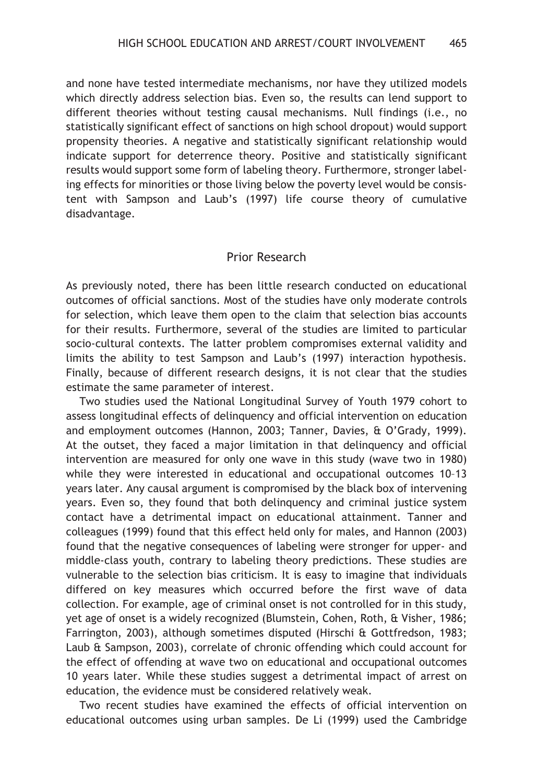and none have tested intermediate mechanisms, nor have they utilized models which directly address selection bias. Even so, the results can lend support to different theories without testing causal mechanisms. Null findings (i.e., no statistically significant effect of sanctions on high school dropout) would support propensity theories. A negative and statistically significant relationship would indicate support for deterrence theory. Positive and statistically significant results would support some form of labeling theory. Furthermore, stronger labeling effects for minorities or those living below the poverty level would be consistent with Sampson and Laub's (1997) life course theory of cumulative disadvantage.

#### Prior Research

As previously noted, there has been little research conducted on educational outcomes of official sanctions. Most of the studies have only moderate controls for selection, which leave them open to the claim that selection bias accounts for their results. Furthermore, several of the studies are limited to particular socio-cultural contexts. The latter problem compromises external validity and limits the ability to test Sampson and Laub's (1997) interaction hypothesis. Finally, because of different research designs, it is not clear that the studies estimate the same parameter of interest.

Two studies used the National Longitudinal Survey of Youth 1979 cohort to assess longitudinal effects of delinquency and official intervention on education and employment outcomes (Hannon, 2003; Tanner, Davies, & O'Grady, 1999). At the outset, they faced a major limitation in that delinquency and official intervention are measured for only one wave in this study (wave two in 1980) while they were interested in educational and occupational outcomes 10–13 years later. Any causal argument is compromised by the black box of intervening years. Even so, they found that both delinquency and criminal justice system contact have a detrimental impact on educational attainment. Tanner and colleagues (1999) found that this effect held only for males, and Hannon (2003) found that the negative consequences of labeling were stronger for upper- and middle-class youth, contrary to labeling theory predictions. These studies are vulnerable to the selection bias criticism. It is easy to imagine that individuals differed on key measures which occurred before the first wave of data collection. For example, age of criminal onset is not controlled for in this study, yet age of onset is a widely recognized (Blumstein, Cohen, Roth, & Visher, 1986; Farrington, 2003), although sometimes disputed (Hirschi & Gottfredson, 1983; Laub & Sampson, 2003), correlate of chronic offending which could account for the effect of offending at wave two on educational and occupational outcomes 10 years later. While these studies suggest a detrimental impact of arrest on education, the evidence must be considered relatively weak.

Two recent studies have examined the effects of official intervention on educational outcomes using urban samples. De Li (1999) used the Cambridge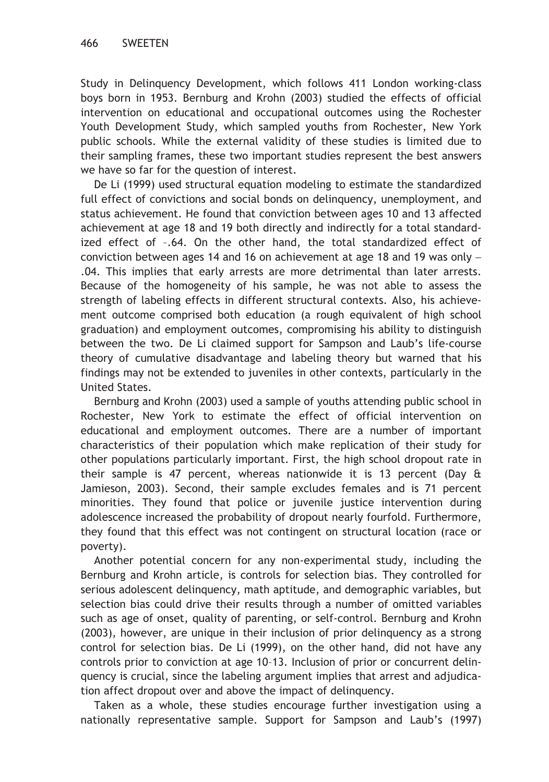Study in Delinquency Development, which follows 411 London working-class boys born in 1953. Bernburg and Krohn (2003) studied the effects of official intervention on educational and occupational outcomes using the Rochester Youth Development Study, which sampled youths from Rochester, New York public schools. While the external validity of these studies is limited due to their sampling frames, these two important studies represent the best answers we have so far for the question of interest.

De Li (1999) used structural equation modeling to estimate the standardized full effect of convictions and social bonds on delinquency, unemployment, and status achievement. He found that conviction between ages 10 and 13 affected achievement at age 18 and 19 both directly and indirectly for a total standardized effect of –.64. On the other hand, the total standardized effect of conviction between ages 14 and 16 on achievement at age 18 and 19 was only − .04. This implies that early arrests are more detrimental than later arrests. Because of the homogeneity of his sample, he was not able to assess the strength of labeling effects in different structural contexts. Also, his achievement outcome comprised both education (a rough equivalent of high school graduation) and employment outcomes, compromising his ability to distinguish between the two. De Li claimed support for Sampson and Laub's life-course theory of cumulative disadvantage and labeling theory but warned that his findings may not be extended to juveniles in other contexts, particularly in the United States.

Bernburg and Krohn (2003) used a sample of youths attending public school in Rochester, New York to estimate the effect of official intervention on educational and employment outcomes. There are a number of important characteristics of their population which make replication of their study for other populations particularly important. First, the high school dropout rate in their sample is 47 percent, whereas nationwide it is 13 percent (Day & Jamieson, 2003). Second, their sample excludes females and is 71 percent minorities. They found that police or juvenile justice intervention during adolescence increased the probability of dropout nearly fourfold. Furthermore, they found that this effect was not contingent on structural location (race or poverty).

Another potential concern for any non-experimental study, including the Bernburg and Krohn article, is controls for selection bias. They controlled for serious adolescent delinquency, math aptitude, and demographic variables, but selection bias could drive their results through a number of omitted variables such as age of onset, quality of parenting, or self-control. Bernburg and Krohn (2003), however, are unique in their inclusion of prior delinquency as a strong control for selection bias. De Li (1999), on the other hand, did not have any controls prior to conviction at age 10–13. Inclusion of prior or concurrent delinquency is crucial, since the labeling argument implies that arrest and adjudication affect dropout over and above the impact of delinquency.

Taken as a whole, these studies encourage further investigation using a nationally representative sample. Support for Sampson and Laub's (1997)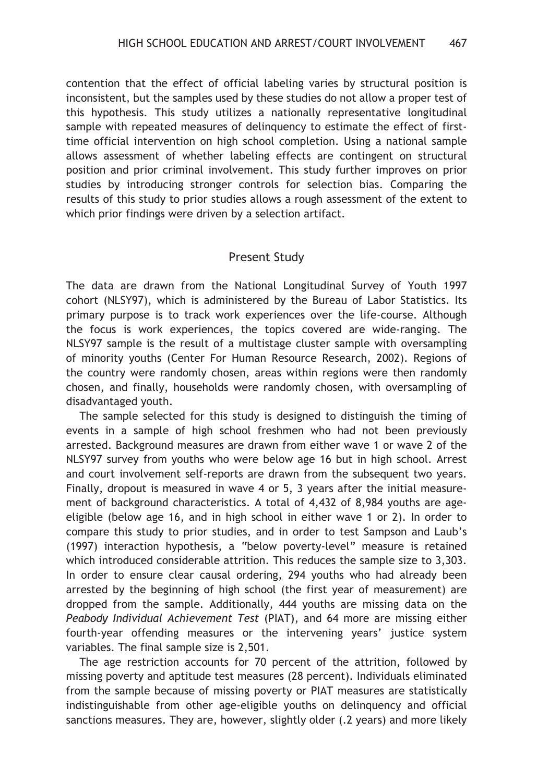contention that the effect of official labeling varies by structural position is inconsistent, but the samples used by these studies do not allow a proper test of this hypothesis. This study utilizes a nationally representative longitudinal sample with repeated measures of delinquency to estimate the effect of firsttime official intervention on high school completion. Using a national sample allows assessment of whether labeling effects are contingent on structural position and prior criminal involvement. This study further improves on prior studies by introducing stronger controls for selection bias. Comparing the results of this study to prior studies allows a rough assessment of the extent to which prior findings were driven by a selection artifact.

#### Present Study

The data are drawn from the National Longitudinal Survey of Youth 1997 cohort (NLSY97), which is administered by the Bureau of Labor Statistics. Its primary purpose is to track work experiences over the life-course. Although the focus is work experiences, the topics covered are wide-ranging. The NLSY97 sample is the result of a multistage cluster sample with oversampling of minority youths (Center For Human Resource Research, 2002). Regions of the country were randomly chosen, areas within regions were then randomly chosen, and finally, households were randomly chosen, with oversampling of disadvantaged youth.

The sample selected for this study is designed to distinguish the timing of events in a sample of high school freshmen who had not been previously arrested. Background measures are drawn from either wave 1 or wave 2 of the NLSY97 survey from youths who were below age 16 but in high school. Arrest and court involvement self-reports are drawn from the subsequent two years. Finally, dropout is measured in wave 4 or 5, 3 years after the initial measurement of background characteristics. A total of 4,432 of 8,984 youths are ageeligible (below age 16, and in high school in either wave 1 or 2). In order to compare this study to prior studies, and in order to test Sampson and Laub's (1997) interaction hypothesis, a "below poverty-level" measure is retained which introduced considerable attrition. This reduces the sample size to 3,303. In order to ensure clear causal ordering, 294 youths who had already been arrested by the beginning of high school (the first year of measurement) are dropped from the sample. Additionally, 444 youths are missing data on the *Peabody Individual Achievement Test* (PIAT), and 64 more are missing either fourth-year offending measures or the intervening years' justice system variables. The final sample size is 2,501.

The age restriction accounts for 70 percent of the attrition, followed by missing poverty and aptitude test measures (28 percent). Individuals eliminated from the sample because of missing poverty or PIAT measures are statistically indistinguishable from other age-eligible youths on delinquency and official sanctions measures. They are, however, slightly older (.2 years) and more likely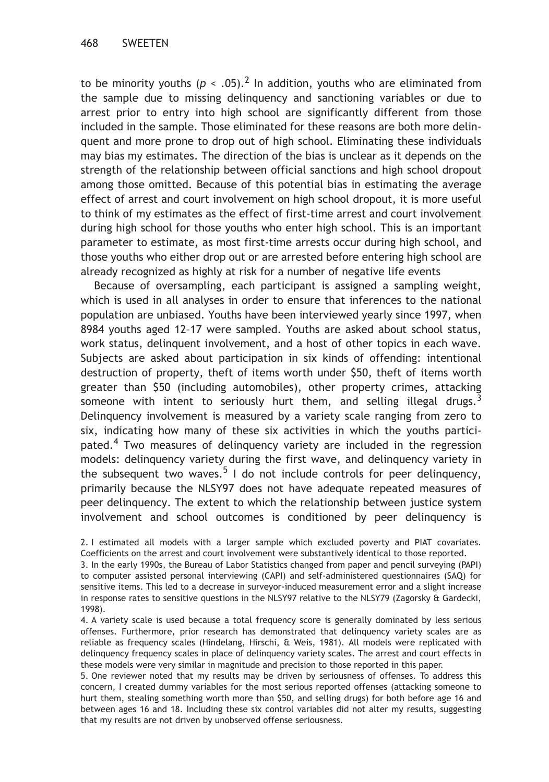to be minority youths ( $p < .05$ ).<sup>2</sup> In addition, youths who are eliminated from the sample due to missing delinquency and sanctioning variables or due to arrest prior to entry into high school are significantly different from those included in the sample. Those eliminated for these reasons are both more delinquent and more prone to drop out of high school. Eliminating these individuals may bias my estimates. The direction of the bias is unclear as it depends on the strength of the relationship between official sanctions and high school dropout among those omitted. Because of this potential bias in estimating the average effect of arrest and court involvement on high school dropout, it is more useful to think of my estimates as the effect of first-time arrest and court involvement during high school for those youths who enter high school. This is an important parameter to estimate, as most first-time arrests occur during high school, and those youths who either drop out or are arrested before entering high school are already recognized as highly at risk for a number of negative life events

Because of oversampling, each participant is assigned a sampling weight, which is used in all analyses in order to ensure that inferences to the national population are unbiased. Youths have been interviewed yearly since 1997, when 8984 youths aged 12–17 were sampled. Youths are asked about school status, work status, delinquent involvement, and a host of other topics in each wave. Subjects are asked about participation in six kinds of offending: intentional destruction of property, theft of items worth under \$50, theft of items worth greater than \$50 (including automobiles), other property crimes, attacking someone with intent to seriously hurt them, and selling illegal drugs.<sup>3</sup> Delinquency involvement is measured by a variety scale ranging from zero to six, indicating how many of these six activities in which the youths participated.<sup>4</sup> Two measures of delinquency variety are included in the regression models: delinquency variety during the first wave, and delinquency variety in the subsequent two waves.<sup>5</sup> I do not include controls for peer delinquency, primarily because the NLSY97 does not have adequate repeated measures of peer delinquency. The extent to which the relationship between justice system involvement and school outcomes is conditioned by peer delinquency is

2. I estimated all models with a larger sample which excluded poverty and PIAT covariates. Coefficients on the arrest and court involvement were substantively identical to those reported.

3. In the early 1990s, the Bureau of Labor Statistics changed from paper and pencil surveying (PAPI) to computer assisted personal interviewing (CAPI) and self-administered questionnaires (SAQ) for sensitive items. This led to a decrease in surveyor-induced measurement error and a slight increase in response rates to sensitive questions in the NLSY97 relative to the NLSY79 (Zagorsky & Gardecki, 1998).

4. A variety scale is used because a total frequency score is generally dominated by less serious offenses. Furthermore, prior research has demonstrated that delinquency variety scales are as reliable as frequency scales (Hindelang, Hirschi, & Weis, 1981). All models were replicated with delinquency frequency scales in place of delinquency variety scales. The arrest and court effects in these models were very similar in magnitude and precision to those reported in this paper.

5. One reviewer noted that my results may be driven by seriousness of offenses. To address this concern, I created dummy variables for the most serious reported offenses (attacking someone to hurt them, stealing something worth more than \$50, and selling drugs) for both before age 16 and between ages 16 and 18. Including these six control variables did not alter my results, suggesting that my results are not driven by unobserved offense seriousness.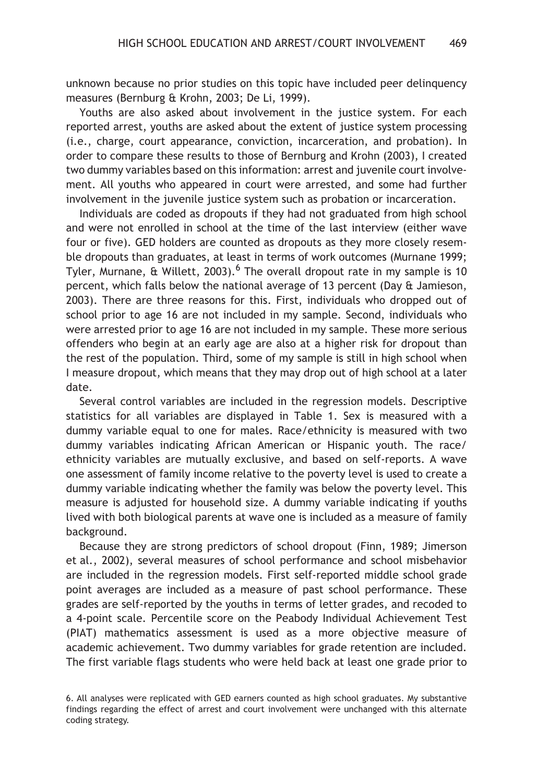unknown because no prior studies on this topic have included peer delinquency measures (Bernburg & Krohn, 2003; De Li, 1999).

Youths are also asked about involvement in the justice system. For each reported arrest, youths are asked about the extent of justice system processing (i.e., charge, court appearance, conviction, incarceration, and probation). In order to compare these results to those of Bernburg and Krohn (2003), I created two dummy variables based on this information: arrest and juvenile court involvement. All youths who appeared in court were arrested, and some had further involvement in the juvenile justice system such as probation or incarceration.

Individuals are coded as dropouts if they had not graduated from high school and were not enrolled in school at the time of the last interview (either wave four or five). GED holders are counted as dropouts as they more closely resemble dropouts than graduates, at least in terms of work outcomes (Murnane 1999; Tyler, Murnane, & Willett, 2003).<sup>6</sup> The overall dropout rate in my sample is 10 percent, which falls below the national average of 13 percent (Day & Jamieson, 2003). There are three reasons for this. First, individuals who dropped out of school prior to age 16 are not included in my sample. Second, individuals who were arrested prior to age 16 are not included in my sample. These more serious offenders who begin at an early age are also at a higher risk for dropout than the rest of the population. Third, some of my sample is still in high school when I measure dropout, which means that they may drop out of high school at a later date.

Several control variables are included in the regression models. Descriptive statistics for all variables are displayed in Table 1. Sex is measured with a dummy variable equal to one for males. Race/ethnicity is measured with two dummy variables indicating African American or Hispanic youth. The race/ ethnicity variables are mutually exclusive, and based on self-reports. A wave one assessment of family income relative to the poverty level is used to create a dummy variable indicating whether the family was below the poverty level. This measure is adjusted for household size. A dummy variable indicating if youths lived with both biological parents at wave one is included as a measure of family background.

Because they are strong predictors of school dropout (Finn, 1989; Jimerson etal., 2002), several measures of school performance and school misbehavior are included in the regression models. First self-reported middle school grade point averages are included as a measure of past school performance. These grades are self-reported by the youths in terms of letter grades, and recoded to a 4-point scale. Percentile score on the Peabody Individual Achievement Test (PIAT) mathematics assessment is used as a more objective measure of academic achievement. Two dummy variables for grade retention are included. The first variable flags students who were held back at least one grade prior to

<sup>6.</sup> All analyses were replicated with GED earners counted as high school graduates. My substantive findings regarding the effect of arrest and court involvement were unchanged with this alternate coding strategy.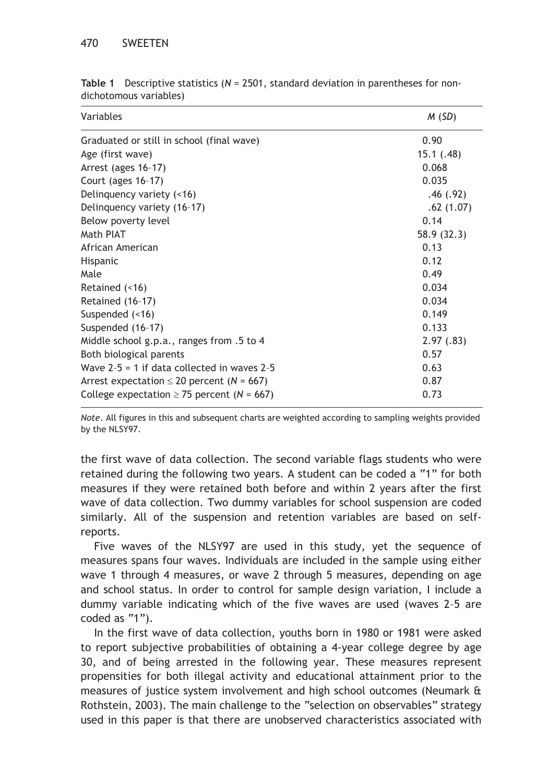| Variables                                       | M(SD)       |
|-------------------------------------------------|-------------|
| Graduated or still in school (final wave)       | 0.90        |
| Age (first wave)                                | 15.1(0.48)  |
| Arrest (ages 16-17)                             | 0.068       |
| Court (ages $16-17$ )                           | 0.035       |
| Delinquency variety (<16)                       | .46(.92)    |
| Delinguency variety (16-17)                     | .62(1.07)   |
| Below poverty level                             | 0.14        |
| Math PIAT                                       | 58.9 (32.3) |
| African American                                | 0.13        |
| <b>Hispanic</b>                                 | 0.12        |
| Male                                            | 0.49        |
| Retained (<16)                                  | 0.034       |
| Retained (16-17)                                | 0.034       |
| Suspended (<16)                                 | 0.149       |
| Suspended (16-17)                               | 0.133       |
| Middle school g.p.a., ranges from .5 to 4       | 2.97(.83)   |
| Both biological parents                         | 0.57        |
| Wave $2-5 = 1$ if data collected in waves $2-5$ | 0.63        |
| Arrest expectation $\leq$ 20 percent (N = 667)  | 0.87        |
| College expectation $\geq$ 75 percent (N = 667) | 0.73        |

**Table 1** Descriptive statistics (*N* = 2501, standard deviation in parentheses for nondichotomous variables)

*Note*. All figures in this and subsequent charts are weighted according to sampling weights provided by the NLSY97.

the first wave of data collection. The second variable flags students who were retained during the following two years. A student can be coded a "1" for both measures if they were retained both before and within 2 years after the first wave of data collection. Two dummy variables for school suspension are coded similarly. All of the suspension and retention variables are based on selfreports.

Five waves of the NLSY97 are used in this study, yet the sequence of measures spans four waves. Individuals are included in the sample using either wave 1 through 4 measures, or wave 2 through 5 measures, depending on age and school status. In order to control for sample design variation, I include a dummy variable indicating which of the five waves are used (waves 2–5 are coded as "1").

In the first wave of data collection, youths born in 1980 or 1981 were asked to report subjective probabilities of obtaining a 4-year college degree by age 30, and of being arrested in the following year. These measures represent propensities for both illegal activity and educational attainment prior to the measures of justice system involvement and high school outcomes (Neumark & Rothstein, 2003). The main challenge to the "selection on observables" strategy used in this paper is that there are unobserved characteristics associated with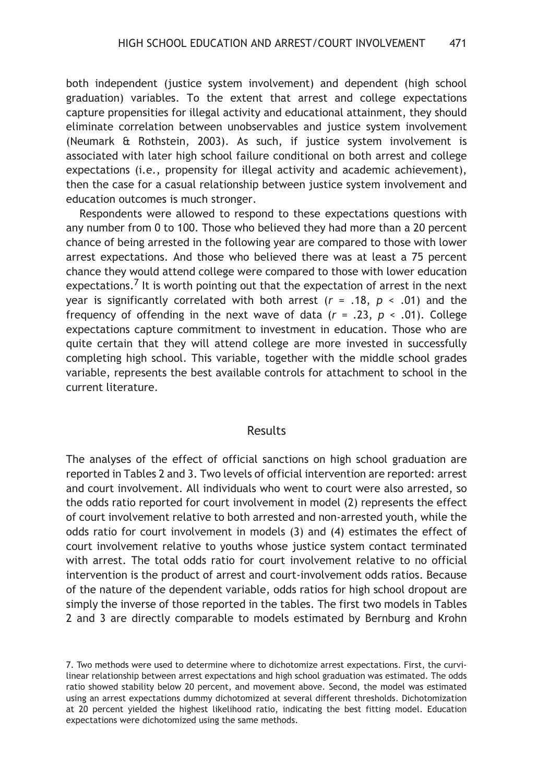both independent (justice system involvement) and dependent (high school graduation) variables. To the extent that arrest and college expectations capture propensities for illegal activity and educational attainment, they should eliminate correlation between unobservables and justice system involvement (Neumark & Rothstein, 2003). As such, if justice system involvement is associated with later high school failure conditional on both arrest and college expectations (i.e., propensity for illegal activity and academic achievement), then the case for a casual relationship between justice system involvement and education outcomes is much stronger.

Respondents were allowed to respond to these expectations questions with any number from 0 to 100. Those who believed they had more than a 20 percent chance of being arrested in the following year are compared to those with lower arrest expectations. And those who believed there was at least a 75 percent chance they would attend college were compared to those with lower education expectations.<sup>7</sup> It is worth pointing out that the expectation of arrest in the next year is significantly correlated with both arrest (*r* = .18, *p* < .01) and the frequency of offending in the next wave of data  $(r = .23, p < .01)$ . College expectations capture commitment to investment in education. Those who are quite certain that they will attend college are more invested in successfully completing high school. This variable, together with the middle school grades variable, represents the best available controls for attachment to school in the current literature.

#### Results

The analyses of the effect of official sanctions on high school graduation are reported in Tables 2 and 3. Two levels of official intervention are reported: arrest and court involvement. All individuals who went to court were also arrested, so the odds ratio reported for court involvement in model (2) represents the effect of court involvement relative to both arrested and non-arrested youth, while the odds ratio for court involvement in models (3) and (4) estimates the effect of court involvement relative to youths whose justice system contact terminated with arrest. The total odds ratio for court involvement relative to no official intervention is the product of arrest and court-involvement odds ratios. Because of the nature of the dependent variable, odds ratios for high school dropout are simply the inverse of those reported in the tables. The first two models in Tables 2 and 3 are directly comparable to models estimated by Bernburg and Krohn

<sup>7.</sup> Two methods were used to determine where to dichotomize arrest expectations. First, the curvilinear relationship between arrest expectations and high school graduation was estimated. The odds ratio showed stability below 20 percent, and movement above. Second, the model was estimated using an arrest expectations dummy dichotomized at several different thresholds. Dichotomization at 20 percent yielded the highest likelihood ratio, indicating the best fitting model. Education expectations were dichotomized using the same methods.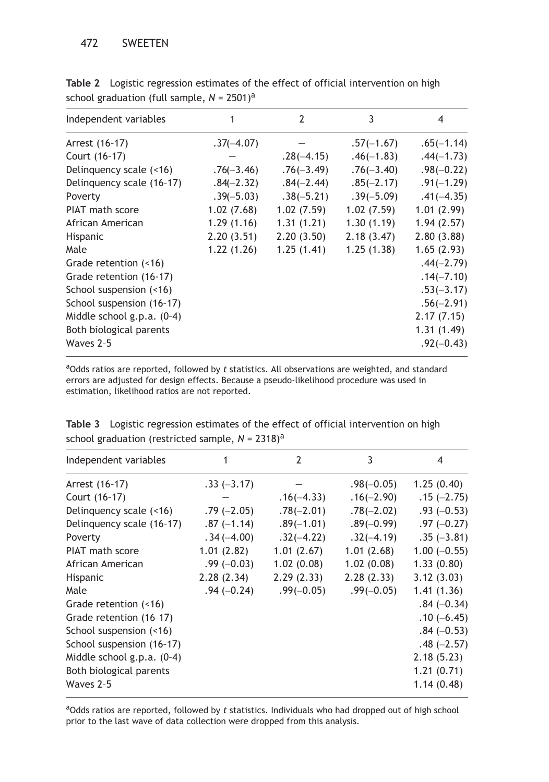| 1            | $\overline{2}$ | 3            | 4            |
|--------------|----------------|--------------|--------------|
| $.37(-4.07)$ |                | $.57(-1.67)$ | $.65(-1.14)$ |
|              | $.28(-4.15)$   | $.46(-1.83)$ | $.44(-1.73)$ |
| $.76(-3.46)$ | $.76(-3.49)$   | $.76(-3.40)$ | $.98(-0.22)$ |
| $.84(-2.32)$ | $.84(-2.44)$   | $.85(-2.17)$ | $.91(-1.29)$ |
| $.39(-5.03)$ | $.38(-5.21)$   | $.39(-5.09)$ | $.41(-4.35)$ |
| 1.02(7.68)   | 1.02(7.59)     | 1.02(7.59)   | 1.01(2.99)   |
| 1.29(1.16)   | 1.31(1.21)     | 1.30(1.19)   | 1.94(2.57)   |
| 2.20(3.51)   | 2.20(3.50)     | 2.18(3.47)   | 2.80(3.88)   |
| 1.22(1.26)   | 1.25(1.41)     | 1.25(1.38)   | 1.65(2.93)   |
|              |                |              | $.44(-2.79)$ |
|              |                |              | $.14(-7.10)$ |
|              |                |              | $.53(-3.17)$ |
|              |                |              | $.56(-2.91)$ |
|              |                |              | 2.17(7.15)   |
|              |                |              | 1.31(1.49)   |
|              |                |              | $.92(-0.43)$ |
|              |                |              |              |

**Table 2** Logistic regression estimates of the effect of official intervention on high school graduation (full sample, *N* = 2501)<sup>a</sup>

aOdds ratios are reported, followed by *t* statistics. All observations are weighted, and standard errors are adjusted for design effects. Because a pseudo-likelihood procedure was used in estimation, likelihood ratios are not reported.

| Independent variables        | 1             | $\overline{2}$ | 3            | 4              |
|------------------------------|---------------|----------------|--------------|----------------|
| Arrest (16-17)               | $.33(-3.17)$  |                | $.98(-0.05)$ | 1.25(0.40)     |
| Court (16-17)                |               | $.16(-4.33)$   | $.16(-2.90)$ | $.15(-2.75)$   |
| Delinquency scale (<16)      | $.79(-2.05)$  | $.78(-2.01)$   | $.78(-2.02)$ | $.93 (-0.53)$  |
| Delinquency scale (16-17)    | $.87(-1.14)$  | $.89(-1.01)$   | $.89(-0.99)$ | $.97(-0.27)$   |
| Poverty                      | $.34(-4.00)$  | $.32(-4.22)$   | $.32(-4.19)$ | $.35(-3.81)$   |
| PIAT math score              | 1.01(2.82)    | 1.01(2.67)     | 1.01(2.68)   | $1.00 (-0.55)$ |
| African American             | $.99(-0.03)$  | 1.02(0.08)     | 1.02(0.08)   | 1.33(0.80)     |
| <b>Hispanic</b>              | 2.28(2.34)    | 2.29(2.33)     | 2.28(2.33)   | 3.12(3.03)     |
| Male                         | $.94 (-0.24)$ | $.99(-0.05)$   | $.99(-0.05)$ | 1.41(1.36)     |
| Grade retention (<16)        |               |                |              | $.84 (-0.34)$  |
| Grade retention (16-17)      |               |                |              | $.10(-6.45)$   |
| School suspension (<16)      |               |                |              | $.84 (-0.53)$  |
| School suspension (16-17)    |               |                |              | $.48 (-2.57)$  |
| Middle school g.p.a. $(0-4)$ |               |                |              | 2.18(5.23)     |
| Both biological parents      |               |                |              | 1.21(0.71)     |
| Waves 2-5                    |               |                |              | 1.14(0.48)     |
|                              |               |                |              |                |

**Table 3** Logistic regression estimates of the effect of official intervention on high school graduation (restricted sample,  $N = 2318$ <sup>a</sup>

aOdds ratios are reported, followed by *t* statistics. Individuals who had dropped out of high school prior to the last wave of data collection were dropped from this analysis.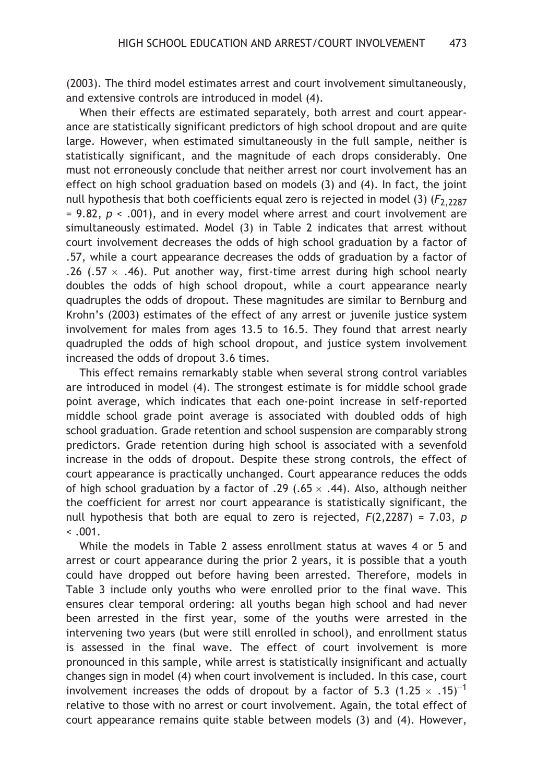(2003). The third model estimates arrest and court involvement simultaneously, and extensive controls are introduced in model (4).

When their effects are estimated separately, both arrest and court appearance are statistically significant predictors of high school dropout and are quite large. However, when estimated simultaneously in the full sample, neither is statistically significant, and the magnitude of each drops considerably. One must not erroneously conclude that neither arrest nor court involvement has an effect on high school graduation based on models (3) and (4). In fact, the joint null hypothesis that both coefficients equal zero is rejected in model (3)  $(F_{2,2287})$  $= 9.82, p < .001$ , and in every model where arrest and court involvement are simultaneously estimated. Model (3) in Table 2 indicates that arrest without court involvement decreases the odds of high school graduation by a factor of .57, while a court appearance decreases the odds of graduation by a factor of .26 (.57  $\times$  .46). Put another way, first-time arrest during high school nearly doubles the odds of high school dropout, while a court appearance nearly quadruples the odds of dropout. These magnitudes are similar to Bernburg and Krohn's (2003) estimates of the effect of any arrest or juvenile justice system involvement for males from ages 13.5 to 16.5. They found that arrest nearly quadrupled the odds of high school dropout, and justice system involvement increased the odds of dropout 3.6 times.

This effect remains remarkably stable when several strong control variables are introduced in model (4). The strongest estimate is for middle school grade point average, which indicates that each one-point increase in self-reported middle school grade point average is associated with doubled odds of high school graduation. Grade retention and school suspension are comparably strong predictors. Grade retention during high school is associated with a sevenfold increase in the odds of dropout. Despite these strong controls, the effect of court appearance is practically unchanged. Court appearance reduces the odds of high school graduation by a factor of .29 (.65  $\times$  .44). Also, although neither the coefficient for arrest nor court appearance is statistically significant, the null hypothesis that both are equal to zero is rejected, *F*(2,2287) = 7.03, *p*  $\leq$  0.01.

While the models in Table 2 assess enrollment status at waves 4 or 5 and arrest or court appearance during the prior 2 years, it is possible that a youth could have dropped out before having been arrested. Therefore, models in Table 3 include only youths who were enrolled prior to the final wave. This ensures clear temporal ordering: all youths began high school and had never been arrested in the first year, some of the youths were arrested in the intervening two years (but were still enrolled in school), and enrollment status is assessed in the final wave. The effect of court involvement is more pronounced in this sample, while arrest is statistically insignificant and actually changes sign in model (4) when court involvement is included. In this case, court involvement increases the odds of dropout by a factor of 5.3 (1.25  $\times$  .15)<sup>-1</sup> relative to those with no arrest or court involvement. Again, the total effect of court appearance remains quite stable between models (3) and (4). However,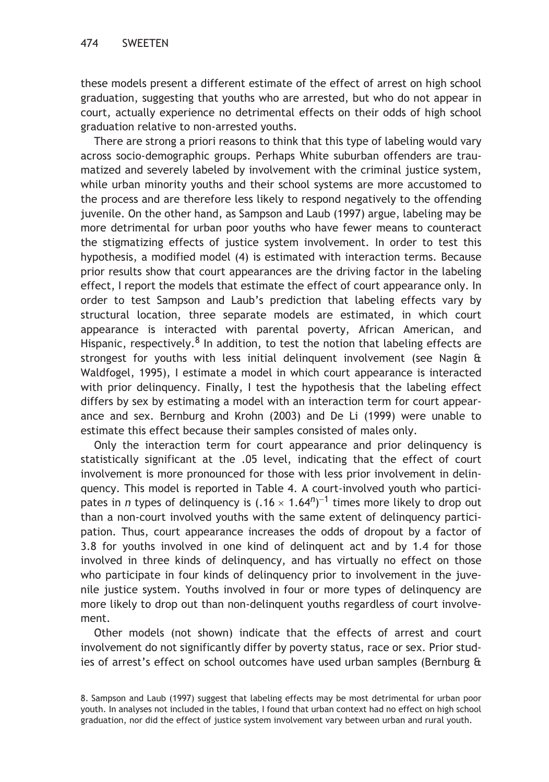these models present a different estimate of the effect of arrest on high school graduation, suggesting that youths who are arrested, but who do not appear in court, actually experience no detrimental effects on their odds of high school graduation relative to non-arrested youths.

There are strong a priori reasons to think that this type of labeling would vary across socio-demographic groups. Perhaps White suburban offenders are traumatized and severely labeled by involvement with the criminal justice system, while urban minority youths and their school systems are more accustomed to the process and are therefore less likely to respond negatively to the offending juvenile. On the other hand, as Sampson and Laub (1997) argue, labeling may be more detrimental for urban poor youths who have fewer means to counteract the stigmatizing effects of justice system involvement. In order to test this hypothesis, a modified model (4) is estimated with interaction terms. Because prior results show that court appearances are the driving factor in the labeling effect, I report the models that estimate the effect of court appearance only. In order to test Sampson and Laub's prediction that labeling effects vary by structural location, three separate models are estimated, in which court appearance is interacted with parental poverty, African American, and Hispanic, respectively.<sup>8</sup> In addition, to test the notion that labeling effects are strongest for youths with less initial delinquent involvement (see Nagin & Waldfogel, 1995), I estimate a model in which court appearance is interacted with prior delinquency. Finally, I test the hypothesis that the labeling effect differs by sex by estimating a model with an interaction term for court appearance and sex. Bernburg and Krohn (2003) and De Li (1999) were unable to estimate this effect because their samples consisted of males only.

Only the interaction term for court appearance and prior delinquency is statistically significant at the .05 level, indicating that the effect of court involvement is more pronounced for those with less prior involvement in delinquency. This model is reported in Table 4. A court-involved youth who participates in *n* types of delinquency is (.16 × 1.64<sup>n</sup>)<sup>−1</sup> times more likely to drop out than a non-court involved youths with the same extent of delinquency participation. Thus, court appearance increases the odds of dropout by a factor of 3.8 for youths involved in one kind of delinquent act and by 1.4 for those involved in three kinds of delinquency, and has virtually no effect on those who participate in four kinds of delinquency prior to involvement in the juvenile justice system. Youths involved in four or more types of delinquency are more likely to drop out than non-delinquent youths regardless of court involvement.

Other models (not shown) indicate that the effects of arrest and court involvement do not significantly differ by poverty status, race or sex. Prior studies of arrest's effect on school outcomes have used urban samples (Bernburg &

8. Sampson and Laub (1997) suggest that labeling effects may be most detrimental for urban poor youth. In analyses not included in the tables, I found that urban context had no effect on high school graduation, nor did the effect of justice system involvement vary between urban and rural youth.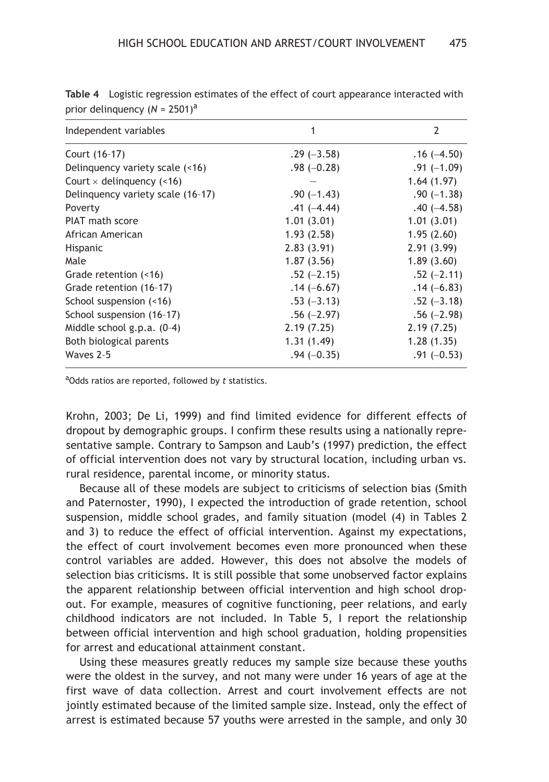| Independent variables             | 1             | $\overline{2}$ |
|-----------------------------------|---------------|----------------|
| Court (16-17)                     | $.29(-3.58)$  | $.16(-4.50)$   |
| Delinguency variety scale (<16)   | $.98(-0.28)$  | $.91(-1.09)$   |
| Court $\times$ delinguency (<16)  |               | 1.64(1.97)     |
| Delinguency variety scale (16-17) | $.90(-1.43)$  | $.90(-1.38)$   |
| Poverty                           | $.41 (-4.44)$ | $.40(-4.58)$   |
| <b>PIAT math score</b>            | 1.01(3.01)    | 1.01(3.01)     |
| African American                  | 1.93(2.58)    | 1.95(2.60)     |
| <b>Hispanic</b>                   | 2.83(3.91)    | 2.91(3.99)     |
| Male                              | 1.87(3.56)    | 1.89(3.60)     |
| Grade retention (<16)             | $.52(-2.15)$  | $.52(-2.11)$   |
| Grade retention (16-17)           | $.14(-6.67)$  | $.14(-6.83)$   |
| School suspension (<16)           | $.53(-3.13)$  | $.52(-3.18)$   |
| School suspension (16-17)         | $.56(-2.97)$  | $.56(-2.98)$   |
| Middle school g.p.a. $(0-4)$      | 2.19(7.25)    | 2.19(7.25)     |
| Both biological parents           | 1.31(1.49)    | 1.28(1.35)     |
| Waves 2-5                         | $.94 (-0.35)$ | $.91 (-0.53)$  |

**Table 4** Logistic regression estimates of the effect of court appearance interacted with prior delinquency ( $N = 2501$ )<sup>a</sup>

aOdds ratios are reported, followed by *t* statistics.

Krohn, 2003; De Li, 1999) and find limited evidence for different effects of dropout by demographic groups. I confirm these results using a nationally representative sample. Contrary to Sampson and Laub's (1997) prediction, the effect of official intervention does not vary by structural location, including urban vs. rural residence, parental income, or minority status.

Because all of these models are subject to criticisms of selection bias (Smith and Paternoster, 1990), I expected the introduction of grade retention, school suspension, middle school grades, and family situation (model (4) in Tables 2 and 3) to reduce the effect of official intervention. Against my expectations, the effect of court involvement becomes even more pronounced when these control variables are added. However, this does not absolve the models of selection bias criticisms. It is still possible that some unobserved factor explains the apparent relationship between official intervention and high school dropout. For example, measures of cognitive functioning, peer relations, and early childhood indicators are not included. In Table 5, I report the relationship between official intervention and high school graduation, holding propensities for arrest and educational attainment constant.

Using these measures greatly reduces my sample size because these youths were the oldest in the survey, and not many were under 16 years of age at the first wave of data collection. Arrest and court involvement effects are not jointly estimated because of the limited sample size. Instead, only the effect of arrest is estimated because 57 youths were arrested in the sample, and only 30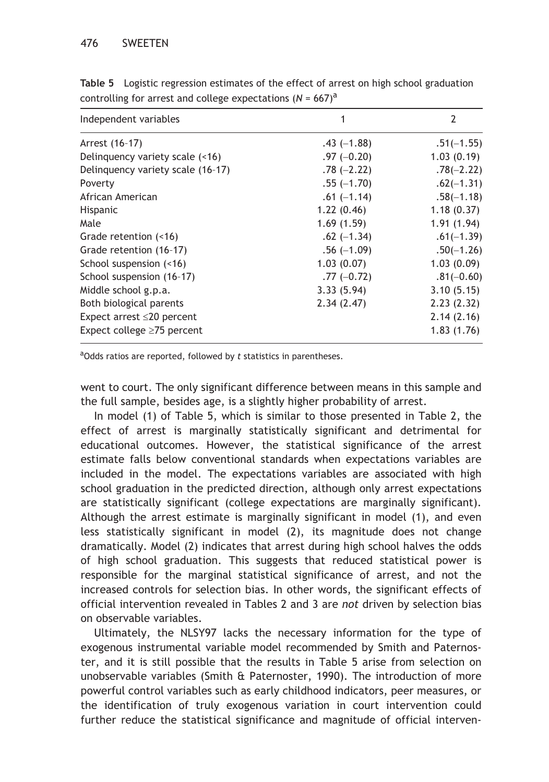| Independent variables             | 1            | 2            |
|-----------------------------------|--------------|--------------|
| Arrest (16-17)                    | $.43(-1.88)$ | $.51(-1.55)$ |
| Delinguency variety scale (<16)   | $.97(-0.20)$ | 1.03(0.19)   |
| Delinquency variety scale (16-17) | $.78(-2.22)$ | $.78(-2.22)$ |
| Poverty                           | $.55(-1.70)$ | $.62(-1.31)$ |
| African American                  | $.61(-1.14)$ | $.58(-1.18)$ |
| <b>Hispanic</b>                   | 1.22(0.46)   | 1.18(0.37)   |
| Male                              | 1.69(1.59)   | 1.91(1.94)   |
| Grade retention (<16)             | $.62(-1.34)$ | $.61(-1.39)$ |
| Grade retention (16-17)           | $.56(-1.09)$ | $.50(-1.26)$ |
| School suspension (<16)           | 1.03(0.07)   | 1.03(0.09)   |
| School suspension (16-17)         | $.77(-0.72)$ | $.81(-0.60)$ |
| Middle school g.p.a.              | 3.33(5.94)   | 3.10(5.15)   |
| Both biological parents           | 2.34(2.47)   | 2.23(2.32)   |
| Expect arrest $\leq$ 20 percent   |              | 2.14(2.16)   |
| Expect college $\geq$ 75 percent  |              | 1.83(1.76)   |

**Table 5** Logistic regression estimates of the effect of arrest on high school graduation controlling for arrest and college expectations  $(N = 667)^a$ 

aOdds ratios are reported, followed by *t* statistics in parentheses.

went to court. The only significant difference between means in this sample and the full sample, besides age, is a slightly higher probability of arrest.

In model (1) of Table 5, which is similar to those presented in Table 2, the effect of arrest is marginally statistically significant and detrimental for educational outcomes. However, the statistical significance of the arrest estimate falls below conventional standards when expectations variables are included in the model. The expectations variables are associated with high school graduation in the predicted direction, although only arrest expectations are statistically significant (college expectations are marginally significant). Although the arrest estimate is marginally significant in model (1), and even less statistically significant in model (2), its magnitude does not change dramatically. Model (2) indicates that arrest during high school halves the odds of high school graduation. This suggests that reduced statistical power is responsible for the marginal statistical significance of arrest, and not the increased controls for selection bias. In other words, the significant effects of official intervention revealed in Tables 2 and 3 are *not* driven by selection bias on observable variables.

Ultimately, the NLSY97 lacks the necessary information for the type of exogenous instrumental variable model recommended by Smith and Paternoster, and it is still possible that the results in Table 5 arise from selection on unobservable variables (Smith & Paternoster, 1990). The introduction of more powerful control variables such as early childhood indicators, peer measures, or the identification of truly exogenous variation in court intervention could further reduce the statistical significance and magnitude of official interven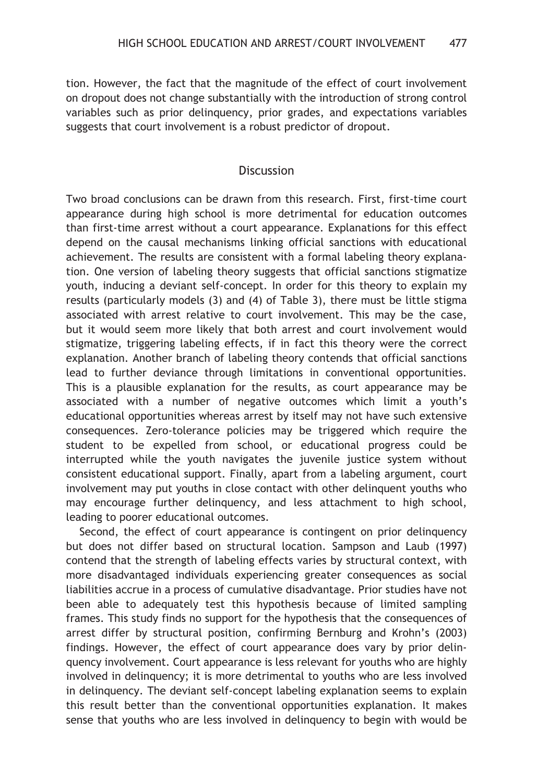tion. However, the fact that the magnitude of the effect of court involvement on dropout does not change substantially with the introduction of strong control variables such as prior delinquency, prior grades, and expectations variables suggests that court involvement is a robust predictor of dropout.

## **Discussion**

Two broad conclusions can be drawn from this research. First, first-time court appearance during high school is more detrimental for education outcomes than first-time arrest without a court appearance. Explanations for this effect depend on the causal mechanisms linking official sanctions with educational achievement. The results are consistent with a formal labeling theory explanation. One version of labeling theory suggests that official sanctions stigmatize youth, inducing a deviant self-concept. In order for this theory to explain my results (particularly models (3) and (4) of Table 3), there must be little stigma associated with arrest relative to court involvement. This may be the case, but it would seem more likely that both arrest and court involvement would stigmatize, triggering labeling effects, if in fact this theory were the correct explanation. Another branch of labeling theory contends that official sanctions lead to further deviance through limitations in conventional opportunities. This is a plausible explanation for the results, as court appearance may be associated with a number of negative outcomes which limit a youth's educational opportunities whereas arrest by itself may not have such extensive consequences. Zero-tolerance policies may be triggered which require the student to be expelled from school, or educational progress could be interrupted while the youth navigates the juvenile justice system without consistent educational support. Finally, apart from a labeling argument, court involvement may put youths in close contact with other delinquent youths who may encourage further delinquency, and less attachment to high school, leading to poorer educational outcomes.

Second, the effect of court appearance is contingent on prior delinquency but does not differ based on structural location. Sampson and Laub (1997) contend that the strength of labeling effects varies by structural context, with more disadvantaged individuals experiencing greater consequences as social liabilities accrue in a process of cumulative disadvantage. Prior studies have not been able to adequately test this hypothesis because of limited sampling frames. This study finds no support for the hypothesis that the consequences of arrest differ by structural position, confirming Bernburg and Krohn's (2003) findings. However, the effect of court appearance does vary by prior delinquency involvement. Court appearance is less relevant for youths who are highly involved in delinquency; it is more detrimental to youths who are less involved in delinquency. The deviant self-concept labeling explanation seems to explain this result better than the conventional opportunities explanation. It makes sense that youths who are less involved in delinquency to begin with would be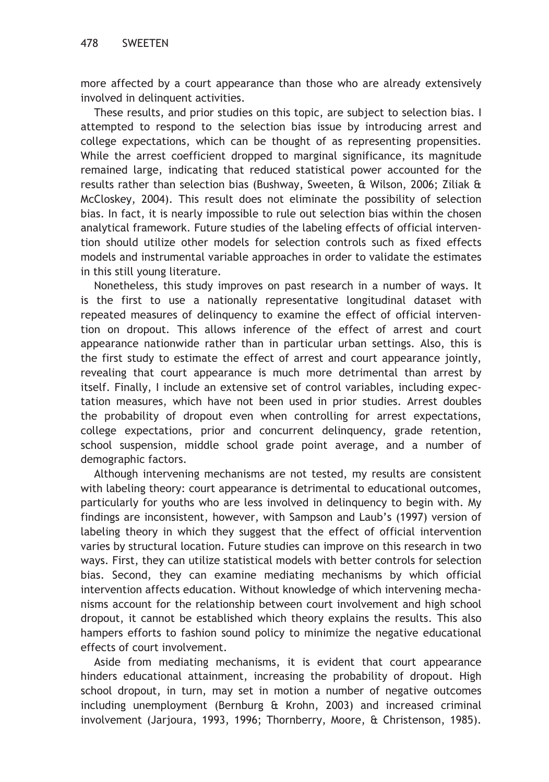more affected by a court appearance than those who are already extensively involved in delinquent activities.

These results, and prior studies on this topic, are subject to selection bias. I attempted to respond to the selection bias issue by introducing arrest and college expectations, which can be thought of as representing propensities. While the arrest coefficient dropped to marginal significance, its magnitude remained large, indicating that reduced statistical power accounted for the results rather than selection bias (Bushway, Sweeten, & Wilson, 2006; Ziliak & McCloskey, 2004). This result does not eliminate the possibility of selection bias. In fact, it is nearly impossible to rule out selection bias within the chosen analytical framework. Future studies of the labeling effects of official intervention should utilize other models for selection controls such as fixed effects models and instrumental variable approaches in order to validate the estimates in this still young literature.

Nonetheless, this study improves on past research in a number of ways. It is the first to use a nationally representative longitudinal dataset with repeated measures of delinquency to examine the effect of official intervention on dropout. This allows inference of the effect of arrest and court appearance nationwide rather than in particular urban settings. Also, this is the first study to estimate the effect of arrest and court appearance jointly, revealing that court appearance is much more detrimental than arrest by itself. Finally, I include an extensive set of control variables, including expectation measures, which have not been used in prior studies. Arrest doubles the probability of dropout even when controlling for arrest expectations, college expectations, prior and concurrent delinquency, grade retention, school suspension, middle school grade point average, and a number of demographic factors.

Although intervening mechanisms are not tested, my results are consistent with labeling theory: court appearance is detrimental to educational outcomes, particularly for youths who are less involved in delinquency to begin with. My findings are inconsistent, however, with Sampson and Laub's (1997) version of labeling theory in which they suggest that the effect of official intervention varies by structural location. Future studies can improve on this research in two ways. First, they can utilize statistical models with better controls for selection bias. Second, they can examine mediating mechanisms by which official intervention affects education. Without knowledge of which intervening mechanisms account for the relationship between court involvement and high school dropout, it cannot be established which theory explains the results. This also hampers efforts to fashion sound policy to minimize the negative educational effects of court involvement.

Aside from mediating mechanisms, it is evident that court appearance hinders educational attainment, increasing the probability of dropout. High school dropout, in turn, may set in motion a number of negative outcomes including unemployment (Bernburg & Krohn, 2003) and increased criminal involvement (Jarjoura, 1993, 1996; Thornberry, Moore, & Christenson, 1985).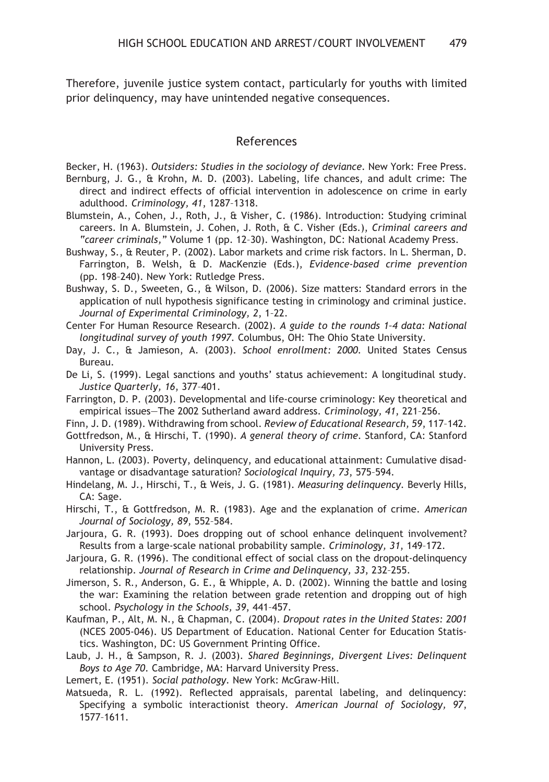Therefore, juvenile justice system contact, particularly for youths with limited prior delinquency, may have unintended negative consequences.

#### References

- Becker, H. (1963). *Outsiders: Studies in the sociology of deviance.* New York: Free Press.
- Bernburg, J. G., & Krohn, M. D. (2003). Labeling, life chances, and adult crime: The direct and indirect effects of official intervention in adolescence on crime in early adulthood. *Criminology, 41*, 1287–1318.
- Blumstein, A., Cohen, J., Roth, J., & Visher, C. (1986). Introduction: Studying criminal careers. In A. Blumstein, J. Cohen, J. Roth, & C. Visher (Eds.), *Criminal careers and "career criminals,"* Volume 1 (pp. 12–30). Washington, DC: National Academy Press.
- Bushway, S., & Reuter, P. (2002). Labor markets and crime risk factors. In L. Sherman, D. Farrington, B. Welsh, & D. MacKenzie (Eds.), *Evidence-based crime prevention* (pp. 198–240). New York: Rutledge Press.
- Bushway, S. D., Sweeten, G., & Wilson, D. (2006). Size matters: Standard errors in the application of null hypothesis significance testing in criminology and criminal justice. *Journal of Experimental Criminology, 2*, 1–22.
- Center For Human Resource Research. (2002). *A guide to the rounds 1–4 data: National longitudinal survey of youth 1997.* Columbus, OH: The Ohio State University.
- Day, J. C., & Jamieson, A. (2003). *School enrollment: 2000.* United States Census Bureau.
- De Li, S. (1999). Legal sanctions and youths' status achievement: A longitudinal study. *Justice Quarterly, 16*, 377–401.
- Farrington, D. P. (2003). Developmental and life-course criminology: Key theoretical and empirical issues—The 2002 Sutherland award address. *Criminology, 41*, 221–256.
- Finn, J. D. (1989). Withdrawing from school. *Review of Educational Research, 59*, 117–142.
- Gottfredson, M., & Hirschi, T. (1990). *A general theory of crime.* Stanford, CA: Stanford University Press.
- Hannon, L. (2003). Poverty, delinquency, and educational attainment: Cumulative disadvantage or disadvantage saturation? *Sociological Inquiry, 73*, 575–594.
- Hindelang, M. J., Hirschi, T., & Weis, J. G. (1981). *Measuring delinquency.* Beverly Hills, CA: Sage.
- Hirschi, T., & Gottfredson, M. R. (1983). Age and the explanation of crime. *American Journal of Sociology, 89*, 552–584.
- Jarjoura, G. R. (1993). Does dropping out of school enhance delinquent involvement? Results from a large-scale national probability sample. *Criminology, 31*, 149–172.
- Jarjoura, G. R. (1996). The conditional effect of social class on the dropout-delinquency relationship. *Journal of Research in Crime and Delinquency, 33*, 232–255.
- Jimerson, S. R., Anderson, G. E., & Whipple, A. D. (2002). Winning the battle and losing the war: Examining the relation between grade retention and dropping out of high school. *Psychology in the Schools, 39*, 441–457.
- Kaufman, P., Alt, M. N., & Chapman, C. (2004). *Dropout rates in the United States: 2001* (NCES 2005-046). US Department of Education. National Center for Education Statistics. Washington, DC: US Government Printing Office.
- Laub, J. H., & Sampson, R. J. (2003). *Shared Beginnings, Divergent Lives: Delinquent Boys to Age 70.* Cambridge, MA: Harvard University Press.
- Lemert, E. (1951). *Social pathology.* New York: McGraw-Hill.
- Matsueda, R. L. (1992). Reflected appraisals, parental labeling, and delinquency: Specifying a symbolic interactionist theory. *American Journal of Sociology, 97*, 1577–1611.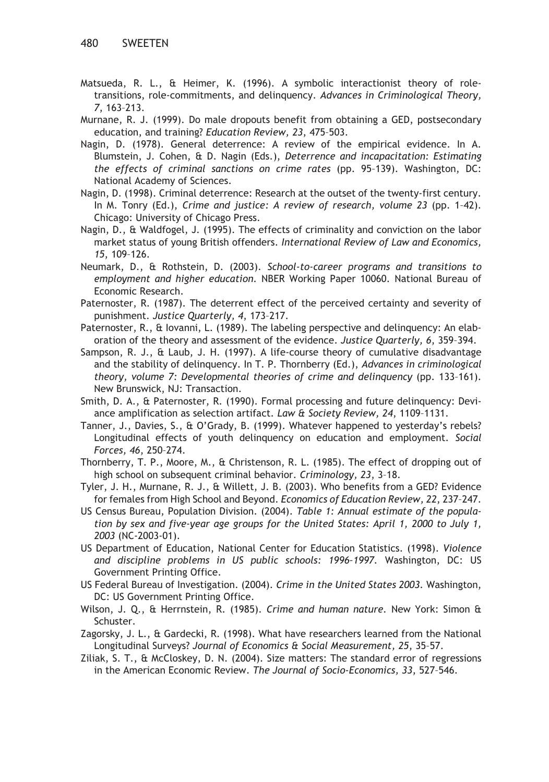- Matsueda, R. L., & Heimer, K. (1996). A symbolic interactionist theory of roletransitions, role-commitments, and delinquency. *Advances in Criminological Theory, 7*, 163–213.
- Murnane, R. J. (1999). Do male dropouts benefit from obtaining a GED, postsecondary education, and training? *Education Review, 23*, 475–503.
- Nagin, D. (1978). General deterrence: A review of the empirical evidence. In A. Blumstein, J. Cohen, & D. Nagin (Eds.), *Deterrence and incapacitation: Estimating the effects of criminal sanctions on crime rates* (pp. 95–139). Washington, DC: National Academy of Sciences.
- Nagin, D. (1998). Criminal deterrence: Research at the outset of the twenty-first century. In M. Tonry (Ed.), *Crime and justice: A review of research, volume 23* (pp. 1–42). Chicago: University of Chicago Press.
- Nagin, D., & Waldfogel, J. (1995). The effects of criminality and conviction on the labor market status of young British offenders. *International Review of Law and Economics, 15*, 109–126.
- Neumark, D., & Rothstein, D. (2003). *School-to-career programs and transitions to employment and higher education.* NBER Working Paper 10060. National Bureau of Economic Research.
- Paternoster, R. (1987). The deterrent effect of the perceived certainty and severity of punishment. *Justice Quarterly, 4*, 173–217.
- Paternoster, R., & Iovanni, L. (1989). The labeling perspective and delinquency: An elaboration of the theory and assessment of the evidence. *Justice Quarterly, 6*, 359–394.
- Sampson, R. J., & Laub, J. H. (1997). A life-course theory of cumulative disadvantage and the stability of delinquency. In T. P. Thornberry (Ed.), *Advances in criminological theory, volume 7: Developmental theories of crime and delinquency* (pp. 133–161). New Brunswick, NJ: Transaction.
- Smith, D. A., & Paternoster, R. (1990). Formal processing and future delinquency: Deviance amplification as selection artifact. *Law & Society Review, 24*, 1109–1131.
- Tanner, J., Davies, S., & O'Grady, B. (1999). Whatever happened to yesterday's rebels? Longitudinal effects of youth delinquency on education and employment. *Social Forces, 46*, 250–274.
- Thornberry, T. P., Moore, M., & Christenson, R. L. (1985). The effect of dropping out of high school on subsequent criminal behavior. *Criminology, 23*, 3–18.
- Tyler, J. H., Murnane, R. J., & Willett, J. B. (2003). Who benefits from a GED? Evidence for females from High School and Beyond. *Economics of Education Review, 22*, 237–247.
- US Census Bureau, Population Division. (2004). *Table 1: Annual estimate of the population by sex and five-year age groups for the United States: April 1, 2000 to July 1, 2003* (NC-2003-01).
- US Department of Education, National Center for Education Statistics. (1998). *Violence and discipline problems in US public schools: 1996–1997.* Washington, DC: US Government Printing Office.
- US Federal Bureau of Investigation. (2004). *Crime in the United States 2003.* Washington, DC: US Government Printing Office.
- Wilson, J. Q., & Herrnstein, R. (1985). *Crime and human nature.* New York: Simon & Schuster.
- Zagorsky, J. L., & Gardecki, R. (1998). What have researchers learned from the National Longitudinal Surveys? *Journal of Economics & Social Measurement, 25*, 35–57.
- Ziliak, S. T., & McCloskey, D. N. (2004). Size matters: The standard error of regressions in the American Economic Review. *The Journal of Socio-Economics, 33*, 527–546.